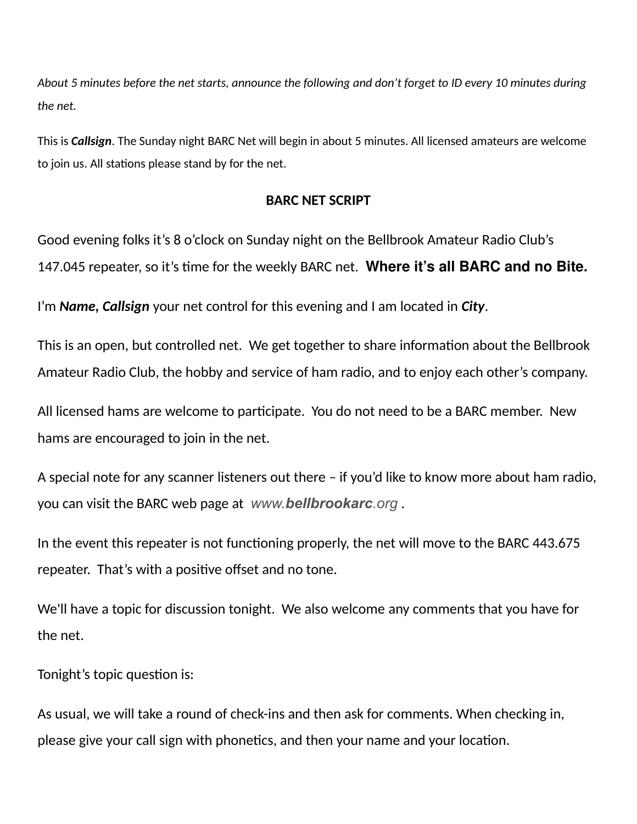*About 5 minutes before the net starts, announce the following and don't forget to ID every 10 minutes during the net.*

This is *Callsign*. The Sunday night BARC Net will begin in about 5 minutes. All licensed amateurs are welcome to join us. All stations please stand by for the net.

#### **BARC NET SCRIPT**

Good evening folks it's 8 o'clock on Sunday night on the Bellbrook Amateur Radio Club's 147.045 repeater, so it's time for the weekly BARC net. **Where it's all BARC and no Bite.** 

I'm *Name, Callsign* your net control for this evening and I am located in *City*.

This is an open, but controlled net. We get together to share information about the Bellbrook Amateur Radio Club, the hobby and service of ham radio, and to enjoy each other's company.

All licensed hams are welcome to participate. You do not need to be a BARC member. New hams are encouraged to join in the net.

A special note for any scanner listeners out there – if you'd like to know more about ham radio, you can visit the BARC web page at *www.bellbrookarc.org* .

In the event this repeater is not functioning properly, the net will move to the BARC 443.675 repeater. That's with a positive offset and no tone.

We'll have a topic for discussion tonight. We also welcome any comments that you have for the net.

Tonight's topic question is:

As usual, we will take a round of check-ins and then ask for comments. When checking in, please give your call sign with phonetics, and then your name and your location.